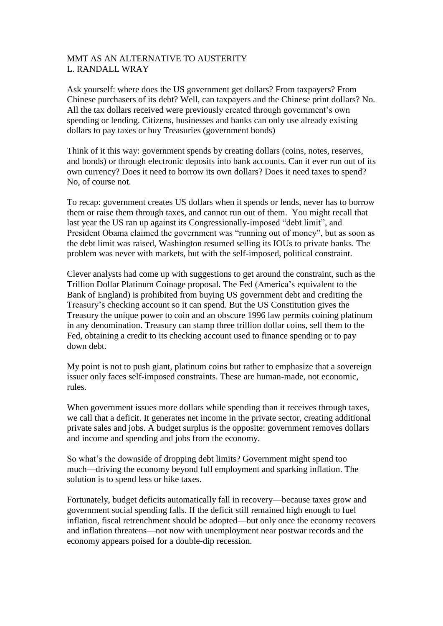## MMT AS AN ALTERNATIVE TO AUSTERITY L. RANDALL WRAY

Ask yourself: where does the US government get dollars? From taxpayers? From Chinese purchasers of its debt? Well, can taxpayers and the Chinese print dollars? No. All the tax dollars received were previously created through government's own spending or lending. Citizens, businesses and banks can only use already existing dollars to pay taxes or buy Treasuries (government bonds)

Think of it this way: government spends by creating dollars (coins, notes, reserves, and bonds) or through electronic deposits into bank accounts. Can it ever run out of its own currency? Does it need to borrow its own dollars? Does it need taxes to spend? No, of course not.

To recap: government creates US dollars when it spends or lends, never has to borrow them or raise them through taxes, and cannot run out of them. You might recall that last year the US ran up against its Congressionally-imposed "debt limit", and President Obama claimed the government was "running out of money", but as soon as the debt limit was raised, Washington resumed selling its IOUs to private banks. The problem was never with markets, but with the self-imposed, political constraint.

Clever analysts had come up with suggestions to get around the constraint, such as the Trillion Dollar Platinum Coinage proposal. The Fed (America's equivalent to the Bank of England) is prohibited from buying US government debt and crediting the Treasury's checking account so it can spend. But the US Constitution gives the Treasury the unique power to coin and an obscure 1996 law permits coining platinum in any denomination. Treasury can stamp three trillion dollar coins, sell them to the Fed, obtaining a credit to its checking account used to finance spending or to pay down debt.

My point is not to push giant, platinum coins but rather to emphasize that a sovereign issuer only faces self-imposed constraints. These are human-made, not economic, rules.

When government issues more dollars while spending than it receives through taxes, we call that a deficit. It generates net income in the private sector, creating additional private sales and jobs. A budget surplus is the opposite: government removes dollars and income and spending and jobs from the economy.

So what's the downside of dropping debt limits? Government might spend too much—driving the economy beyond full employment and sparking inflation. The solution is to spend less or hike taxes.

Fortunately, budget deficits automatically fall in recovery—because taxes grow and government social spending falls. If the deficit still remained high enough to fuel inflation, fiscal retrenchment should be adopted—but only once the economy recovers and inflation threatens—not now with unemployment near postwar records and the economy appears poised for a double-dip recession.